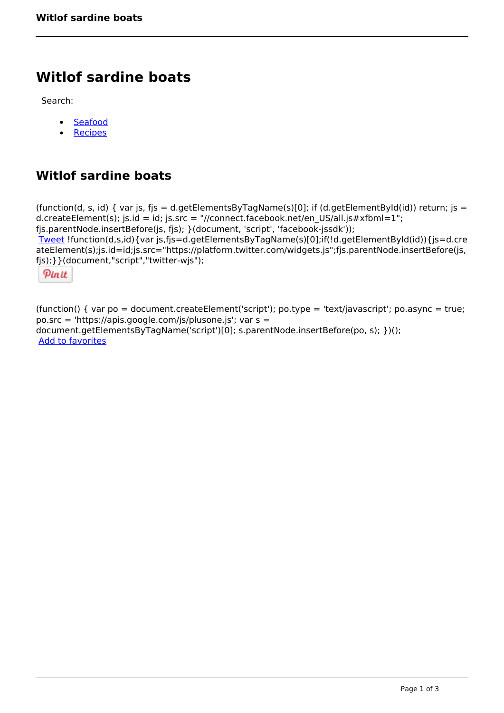# **Witlof sardine boats**

Search:

- [Seafood](https://www.naturalhealthmag.com.au/nourish/seafood)  $\bullet$
- [Recipes](https://www.naturalhealthmag.com.au/nourish/recipes)  $\bullet$

# **Witlof sardine boats**

(function(d, s, id) { var js, fjs = d.getElementsByTagName(s)[0]; if (d.getElementById(id)) return; js = d.createElement(s); js.id = id; js.src = "//connect.facebook.net/en\_US/all.js#xfbml=1"; fjs.parentNode.insertBefore(js, fjs); }(document, 'script', 'facebook-jssdk')); [Tweet](https://twitter.com/share) !function(d,s,id){var js,fjs=d.getElementsByTagName(s)[0];if(!d.getElementById(id)){js=d.cre ateElement(s);js.id=id;js.src="https://platform.twitter.com/widgets.js";fjs.parentNode.insertBefore(js, fjs);}}(document,"script","twitter-wjs");

Pinit

(function() { var po = document.createElement('script'); po.type = 'text/javascript'; po.async = true; po.src = 'https://apis.google.com/js/plusone.js'; var s = document.getElementsByTagName('script')[0]; s.parentNode.insertBefore(po, s); })(); Add to favorites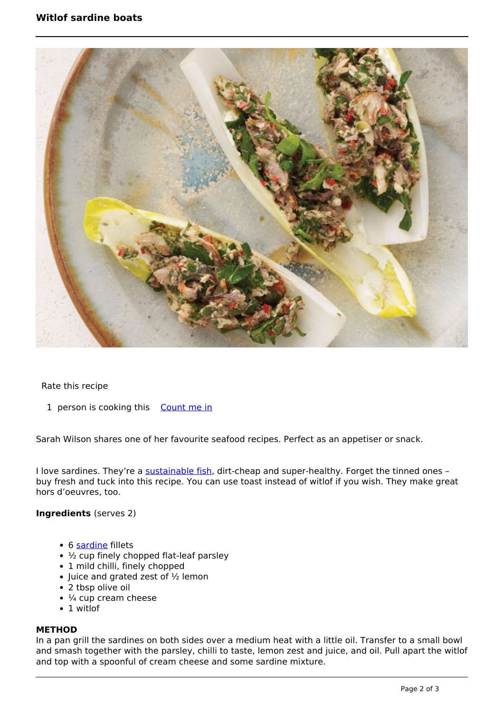

Rate this recipe

1 person is cooking this [Count me in](https://www.naturalhealthmag.com.au/flag/flag/favorites/1102?destination=printpdf%2F1102&token=1182e31c1e378bea48cd7c23dc360b74)

Sarah Wilson shares one of her favourite seafood recipes. Perfect as an appetiser or snack.

I love sardines. They're a [sustainable fish](http://www.naturalhealthmag.com.au/nourish/sustainable-seafood), dirt-cheap and super-healthy. Forget the tinned ones buy fresh and tuck into this recipe. You can use toast instead of witlof if you wish. They make great hors d'oeuvres, too.

#### **Ingredients** (serves 2)

- 6 [sardine](http://www.naturalhealthmag.com.au/nourish/smoky-artichoke-sardine-salad) fillets
- $\cdot$   $\frac{1}{2}$  cup finely chopped flat-leaf parsley
- 1 mild chilli, finely chopped
- $\bullet$  Juice and grated zest of  $\frac{1}{2}$  lemon
- 2 tbsp olive oil
- $\cdot$   $\frac{1}{4}$  cup cream cheese
- $\bullet$  1 witlof

## **METHOD**

In a pan grill the sardines on both sides over a medium heat with a little oil. Transfer to a small bowl and smash together with the parsley, chilli to taste, lemon zest and juice, and oil. Pull apart the witlof and top with a spoonful of cream cheese and some sardine mixture.